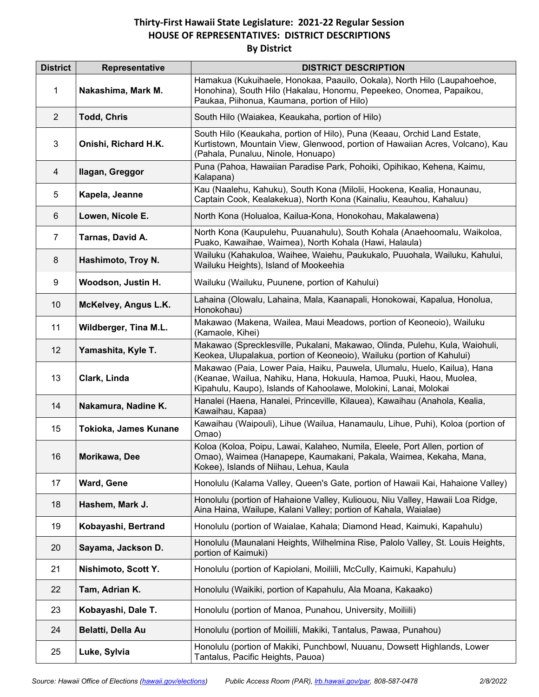## **Thirty-First Hawaii State Legislature: 2021-22 Regular Session HOUSE OF REPRESENTATIVES: DISTRICT DESCRIPTIONS By District**

| <b>District</b> | Representative        | <b>DISTRICT DESCRIPTION</b>                                                                                                                                                                                         |
|-----------------|-----------------------|---------------------------------------------------------------------------------------------------------------------------------------------------------------------------------------------------------------------|
| $\mathbf{1}$    | Nakashima, Mark M.    | Hamakua (Kukuihaele, Honokaa, Paauilo, Ookala), North Hilo (Laupahoehoe,<br>Honohina), South Hilo (Hakalau, Honomu, Pepeekeo, Onomea, Papaikou,<br>Paukaa, Piihonua, Kaumana, portion of Hilo)                      |
| $\overline{2}$  | <b>Todd, Chris</b>    | South Hilo (Waiakea, Keaukaha, portion of Hilo)                                                                                                                                                                     |
| 3               | Onishi, Richard H.K.  | South Hilo (Keaukaha, portion of Hilo), Puna (Keaau, Orchid Land Estate,<br>Kurtistown, Mountain View, Glenwood, portion of Hawaiian Acres, Volcano), Kau<br>(Pahala, Punaluu, Ninole, Honuapo)                     |
| 4               | Ilagan, Greggor       | Puna (Pahoa, Hawaiian Paradise Park, Pohoiki, Opihikao, Kehena, Kaimu,<br>Kalapana)                                                                                                                                 |
| 5               | Kapela, Jeanne        | Kau (Naalehu, Kahuku), South Kona (Milolii, Hookena, Kealia, Honaunau,<br>Captain Cook, Kealakekua), North Kona (Kainaliu, Keauhou, Kahaluu)                                                                        |
| 6               | Lowen, Nicole E.      | North Kona (Holualoa, Kailua-Kona, Honokohau, Makalawena)                                                                                                                                                           |
| $\overline{7}$  | Tarnas, David A.      | North Kona (Kaupulehu, Puuanahulu), South Kohala (Anaehoomalu, Waikoloa,<br>Puako, Kawaihae, Waimea), North Kohala (Hawi, Halaula)                                                                                  |
| 8               | Hashimoto, Troy N.    | Wailuku (Kahakuloa, Waihee, Waiehu, Paukukalo, Puuohala, Wailuku, Kahului,<br>Wailuku Heights), Island of Mookeehia                                                                                                 |
| 9               | Woodson, Justin H.    | Wailuku (Wailuku, Puunene, portion of Kahului)                                                                                                                                                                      |
| 10              | McKelvey, Angus L.K.  | Lahaina (Olowalu, Lahaina, Mala, Kaanapali, Honokowai, Kapalua, Honolua,<br>Honokohau)                                                                                                                              |
| 11              | Wildberger, Tina M.L. | Makawao (Makena, Wailea, Maui Meadows, portion of Keoneoio), Wailuku<br>(Kamaole, Kihei)                                                                                                                            |
| 12              | Yamashita, Kyle T.    | Makawao (Sprecklesville, Pukalani, Makawao, Olinda, Pulehu, Kula, Waiohuli,<br>Keokea, Ulupalakua, portion of Keoneoio), Wailuku (portion of Kahului)                                                               |
| 13              | Clark, Linda          | Makawao (Paia, Lower Paia, Haiku, Pauwela, Ulumalu, Huelo, Kailua), Hana<br>(Keanae, Wailua, Nahiku, Hana, Hokuula, Hamoa, Puuki, Haou, Muolea,<br>Kipahulu, Kaupo), Islands of Kahoolawe, Molokini, Lanai, Molokai |
| 14              | Nakamura, Nadine K.   | Hanalei (Haena, Hanalei, Princeville, Kilauea), Kawaihau (Anahola, Kealia,<br>Kawaihau, Kapaa)                                                                                                                      |
| 15              | Tokioka, James Kunane | Kawaihau (Waipouli), Lihue (Wailua, Hanamaulu, Lihue, Puhi), Koloa (portion of<br>Omao)                                                                                                                             |
| 16              | Morikawa, Dee         | Koloa (Koloa, Poipu, Lawai, Kalaheo, Numila, Eleele, Port Allen, portion of<br>Omao), Waimea (Hanapepe, Kaumakani, Pakala, Waimea, Kekaha, Mana,<br>Kokee), Islands of Niihau, Lehua, Kaula                         |
| 17              | Ward, Gene            | Honolulu (Kalama Valley, Queen's Gate, portion of Hawaii Kai, Hahaione Valley)                                                                                                                                      |
| 18              | Hashem, Mark J.       | Honolulu (portion of Hahaione Valley, Kuliouou, Niu Valley, Hawaii Loa Ridge,<br>Aina Haina, Wailupe, Kalani Valley; portion of Kahala, Waialae)                                                                    |
| 19              | Kobayashi, Bertrand   | Honolulu (portion of Waialae, Kahala; Diamond Head, Kaimuki, Kapahulu)                                                                                                                                              |
| 20              | Sayama, Jackson D.    | Honolulu (Maunalani Heights, Wilhelmina Rise, Palolo Valley, St. Louis Heights,<br>portion of Kaimuki)                                                                                                              |
| 21              | Nishimoto, Scott Y.   | Honolulu (portion of Kapiolani, Moiliili, McCully, Kaimuki, Kapahulu)                                                                                                                                               |
| 22              | Tam, Adrian K.        | Honolulu (Waikiki, portion of Kapahulu, Ala Moana, Kakaako)                                                                                                                                                         |
| 23              | Kobayashi, Dale T.    | Honolulu (portion of Manoa, Punahou, University, Moiliili)                                                                                                                                                          |
| 24              | Belatti, Della Au     | Honolulu (portion of Moiliili, Makiki, Tantalus, Pawaa, Punahou)                                                                                                                                                    |
| 25              | Luke, Sylvia          | Honolulu (portion of Makiki, Punchbowl, Nuuanu, Dowsett Highlands, Lower<br>Tantalus, Pacific Heights, Pauoa)                                                                                                       |